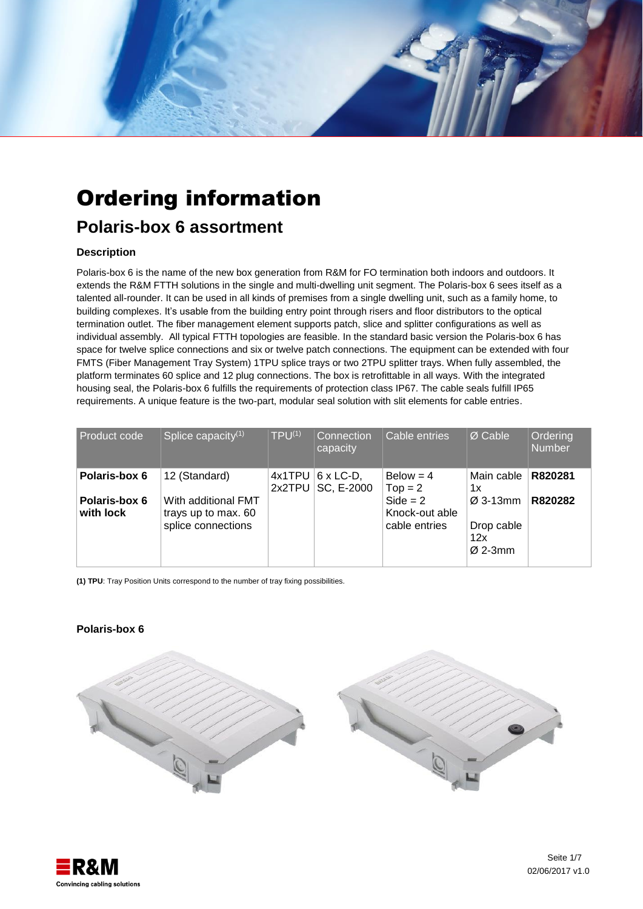

# Ordering information

## **Polaris-box 6 assortment**

### **Description**

Polaris-box 6 is the name of the new box generation from R&M for FO termination both indoors and outdoors. It extends the R&M FTTH solutions in the single and multi-dwelling unit segment. The Polaris-box 6 sees itself as a talented all-rounder. It can be used in all kinds of premises from a single dwelling unit, such as a family home, to building complexes. It's usable from the building entry point through risers and floor distributors to the optical termination outlet. The fiber management element supports patch, slice and splitter configurations as well as individual assembly. All typical FTTH topologies are feasible. In the standard basic version the Polaris-box 6 has space for twelve splice connections and six or twelve patch connections. The equipment can be extended with four FMTS (Fiber Management Tray System) 1TPU splice trays or two 2TPU splitter trays. When fully assembled, the platform terminates 60 splice and 12 plug connections. The box is retrofittable in all ways. With the integrated housing seal, the Polaris-box 6 fulfills the requirements of protection class IP67. The cable seals fulfill IP65 requirements. A unique feature is the two-part, modular seal solution with slit elements for cable entries.

| <b>Product code</b>        | Splice capacity <sup>(1)</sup>                                   | $TPU^{(1)}$         | Connection<br>capacity         | Cable entries                                 | $\varnothing$ Cable                          | Ordering<br><b>Number</b> |
|----------------------------|------------------------------------------------------------------|---------------------|--------------------------------|-----------------------------------------------|----------------------------------------------|---------------------------|
| Polaris-box 6              | 12 (Standard)                                                    | $4x1$ TPU<br>2x2TPU | $6 \times$ LC-D,<br>SC, E-2000 | $Below = 4$<br>$Top = 2$                      | Main cable<br>1x                             | R820281                   |
| Polaris-box 6<br>with lock | With additional FMT<br>trays up to max. 60<br>splice connections |                     |                                | $Side = 2$<br>Knock-out able<br>cable entries | $Ø$ 3-13mm<br>Drop cable<br>12x<br>$Ø$ 2-3mm | R820282                   |

**(1) TPU**: Tray Position Units correspond to the number of tray fixing possibilities.

#### **Polaris-box 6**



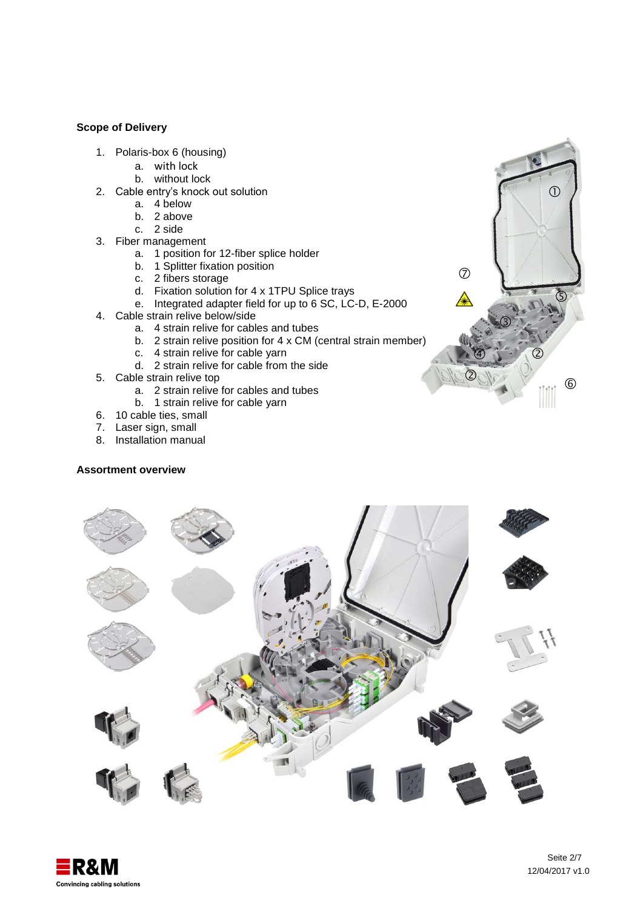#### **Scope of Delivery**

- 1. Polaris-box 6 (housing)
	- a. with lock
	- b. without lock
- 2. Cable entry's knock out solution
	- a. 4 below
	- b. 2 above
	- c. 2 side
- 3. Fiber management
	- a. 1 position for 12-fiber splice holder
	- b. 1 Splitter fixation position
	- c. 2 fibers storage
	- d. Fixation solution for 4 x 1TPU Splice trays
	- e. Integrated adapter field for up to 6 SC, LC-D, E-2000
- 4. Cable strain relive below/side
	- a. 4 strain relive for cables and tubes
	- b. 2 strain relive position for 4 x CM (central strain member)
	- c. 4 strain relive for cable yarn
	- d. 2 strain relive for cable from the side
- 5. Cable strain relive top
	- a. 2 strain relive for cables and tubes
	- b. 1 strain relive for cable yarn
- 6. 10 cable ties, small
- 7. Laser sign, small
- 8. Installation manual

#### **Assortment overview**





 $\circled{0}$ 

 $\circledS$ 

 $\circledcirc$ 

 $\circledcirc$ 

 $\circledS$ 

 $\circledcirc$ 

 $\circledcirc$ 

A

 $\bigcirc$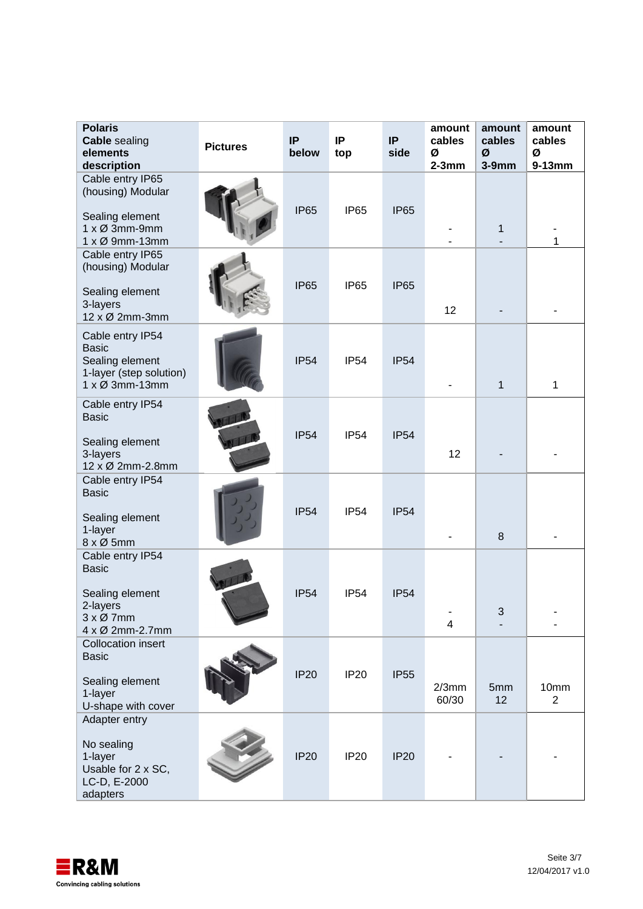| <b>Polaris</b><br><b>Cable sealing</b><br>elements<br>description                                                         | <b>Pictures</b> | IP<br>below | IP<br>top        | IP<br>side  | amount<br>cables<br>Ø<br>$2-3mm$ | amount<br>cables<br>Ø<br>$3-9mm$ | amount<br>cables<br>Ø<br>$9-13mm$ |
|---------------------------------------------------------------------------------------------------------------------------|-----------------|-------------|------------------|-------------|----------------------------------|----------------------------------|-----------------------------------|
| Cable entry IP65<br>(housing) Modular<br>Sealing element<br>$1 \times \emptyset$ 3mm-9mm<br>$1 \times \emptyset$ 9mm-13mm |                 | <b>IP65</b> | IP <sub>65</sub> | <b>IP65</b> |                                  | 1                                | 1                                 |
| Cable entry IP65<br>(housing) Modular<br>Sealing element<br>3-layers<br>12 x Ø 2mm-3mm                                    |                 | <b>IP65</b> | IP <sub>65</sub> | <b>IP65</b> | 12                               |                                  |                                   |
| Cable entry IP54<br><b>Basic</b><br>Sealing element<br>1-layer (step solution)<br>1 x Ø 3mm-13mm                          |                 | <b>IP54</b> | <b>IP54</b>      | <b>IP54</b> |                                  | $\mathbf{1}$                     | 1                                 |
| Cable entry IP54<br><b>Basic</b><br>Sealing element<br>3-layers<br>12 x Ø 2mm-2.8mm                                       |                 | <b>IP54</b> | <b>IP54</b>      | <b>IP54</b> | 12                               |                                  |                                   |
| Cable entry IP54<br><b>Basic</b><br>Sealing element<br>1-layer<br>8 x Ø 5mm                                               |                 | <b>IP54</b> | <b>IP54</b>      | <b>IP54</b> |                                  | 8                                |                                   |
| Cable entry IP54<br><b>Basic</b><br>Sealing element<br>2-layers<br>$3 \times \emptyset$ 7mm<br>4 x Ø 2mm-2.7mm            |                 | <b>IP54</b> | <b>IP54</b>      | <b>IP54</b> | $\overline{4}$                   | 3                                |                                   |
| <b>Collocation insert</b><br><b>Basic</b><br>Sealing element<br>1-layer<br>U-shape with cover                             |                 | <b>IP20</b> | <b>IP20</b>      | <b>IP55</b> | $2/3$ mm<br>60/30                | 5mm<br>12                        | 10mm<br>$\overline{2}$            |
| Adapter entry<br>No sealing<br>1-layer<br>Usable for 2 x SC,<br>LC-D, E-2000<br>adapters                                  |                 | <b>IP20</b> | <b>IP20</b>      | <b>IP20</b> |                                  |                                  |                                   |

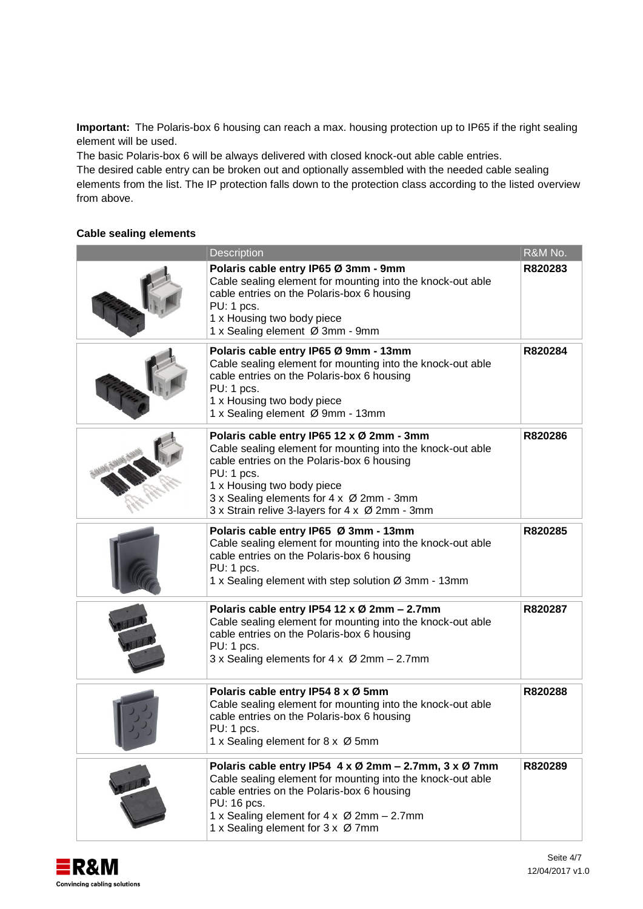**Important:** The Polaris-box 6 housing can reach a max. housing protection up to IP65 if the right sealing element will be used.

The basic Polaris-box 6 will be always delivered with closed knock-out able cable entries.

The desired cable entry can be broken out and optionally assembled with the needed cable sealing elements from the list. The IP protection falls down to the protection class according to the listed overview from above.

### **Cable sealing elements**

| Description                                                                                                                                                                                                                                                                                     | R&M No. |
|-------------------------------------------------------------------------------------------------------------------------------------------------------------------------------------------------------------------------------------------------------------------------------------------------|---------|
| Polaris cable entry IP65 Ø 3mm - 9mm<br>Cable sealing element for mounting into the knock-out able<br>cable entries on the Polaris-box 6 housing<br>PU: 1 pcs.<br>1 x Housing two body piece<br>1 x Sealing element Ø 3mm - 9mm                                                                 | R820283 |
| Polaris cable entry IP65 Ø 9mm - 13mm<br>Cable sealing element for mounting into the knock-out able<br>cable entries on the Polaris-box 6 housing<br>PU: 1 pcs.<br>1 x Housing two body piece<br>1 x Sealing element Ø 9mm - 13mm                                                               | R820284 |
| Polaris cable entry IP65 12 x Ø 2mm - 3mm<br>Cable sealing element for mounting into the knock-out able<br>cable entries on the Polaris-box 6 housing<br>PU: 1 pcs.<br>1 x Housing two body piece<br>3 x Sealing elements for 4 x Ø 2mm - 3mm<br>3 x Strain relive 3-layers for 4 x Ø 2mm - 3mm | R820286 |
| Polaris cable entry IP65 Ø 3mm - 13mm<br>Cable sealing element for mounting into the knock-out able<br>cable entries on the Polaris-box 6 housing<br>PU: 1 pcs.<br>1 x Sealing element with step solution Ø 3mm - 13mm                                                                          | R820285 |
| Polaris cable entry IP54 12 x Ø 2mm - 2.7mm<br>Cable sealing element for mounting into the knock-out able<br>cable entries on the Polaris-box 6 housing<br>PU: 1 pcs.<br>3 x Sealing elements for 4 x Ø 2mm - 2.7mm                                                                             | R820287 |
| Polaris cable entry IP54 8 x Ø 5mm<br>Cable sealing element for mounting into the knock-out able<br>cable entries on the Polaris-box 6 housing<br>PU: 1 pcs.<br>1 x Sealing element for 8 x Ø 5mm                                                                                               | R820288 |
| Polaris cable entry IP54 4 x Ø 2mm - 2.7mm, 3 x Ø 7mm<br>Cable sealing element for mounting into the knock-out able<br>cable entries on the Polaris-box 6 housing<br>PU: 16 pcs.<br>1 x Sealing element for 4 x Ø 2mm - 2.7mm<br>1 x Sealing element for 3 x Ø 7mm                              | R820289 |

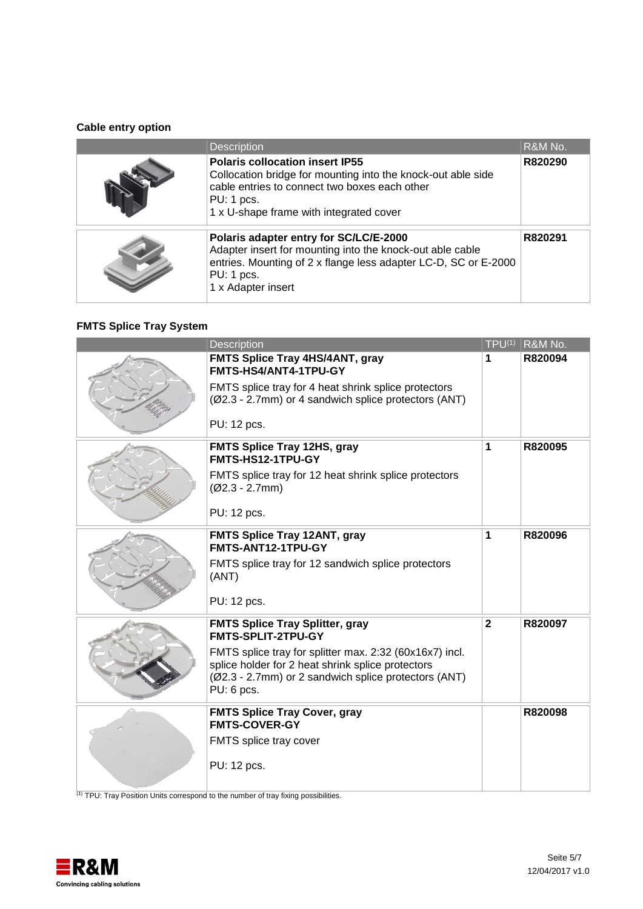### **Cable entry option**

| <b>Description</b>                                                                                                                                                                                               | R&M No. |
|------------------------------------------------------------------------------------------------------------------------------------------------------------------------------------------------------------------|---------|
| <b>Polaris collocation insert IP55</b><br>Collocation bridge for mounting into the knock-out able side<br>cable entries to connect two boxes each other<br>PU: 1 pcs.<br>1 x U-shape frame with integrated cover | R820290 |
| Polaris adapter entry for SC/LC/E-2000<br>Adapter insert for mounting into the knock-out able cable<br>entries. Mounting of 2 x flange less adapter LC-D, SC or E-2000<br>PU: 1 pcs.<br>1 x Adapter insert       | R820291 |

### **FMTS Splice Tray System**

| <b>Description</b>                                                                                                                                                                                                                                 |             | $TPU^{(1)}$ R&M No. |
|----------------------------------------------------------------------------------------------------------------------------------------------------------------------------------------------------------------------------------------------------|-------------|---------------------|
| FMTS Splice Tray 4HS/4ANT, gray<br>FMTS-HS4/ANT4-1TPU-GY<br>FMTS splice tray for 4 heat shrink splice protectors<br>(Ø2.3 - 2.7mm) or 4 sandwich splice protectors (ANT)<br>PU: 12 pcs.                                                            | 1           | R820094             |
| <b>FMTS Splice Tray 12HS, gray</b><br>FMTS-HS12-1TPU-GY<br>FMTS splice tray for 12 heat shrink splice protectors<br>$(Ø2.3 - 2.7mm)$<br>PU: 12 pcs.                                                                                                | 1           | R820095             |
| FMTS Splice Tray 12ANT, gray<br>FMTS-ANT12-1TPU-GY<br>FMTS splice tray for 12 sandwich splice protectors<br>(ANT)<br>PU: 12 pcs.                                                                                                                   | 1           | R820096             |
| <b>FMTS Splice Tray Splitter, gray</b><br>FMTS-SPLIT-2TPU-GY<br>FMTS splice tray for splitter max. 2:32 (60x16x7) incl.<br>splice holder for 2 heat shrink splice protectors<br>(Ø2.3 - 2.7mm) or 2 sandwich splice protectors (ANT)<br>PU: 6 pcs. | $\mathbf 2$ | R820097             |
| <b>FMTS Splice Tray Cover, gray</b><br><b>FMTS-COVER-GY</b><br>FMTS splice tray cover<br>PU: 12 pcs.                                                                                                                                               |             | R820098             |

(1) TPU: Tray Position Units correspond to the number of tray fixing possibilities.

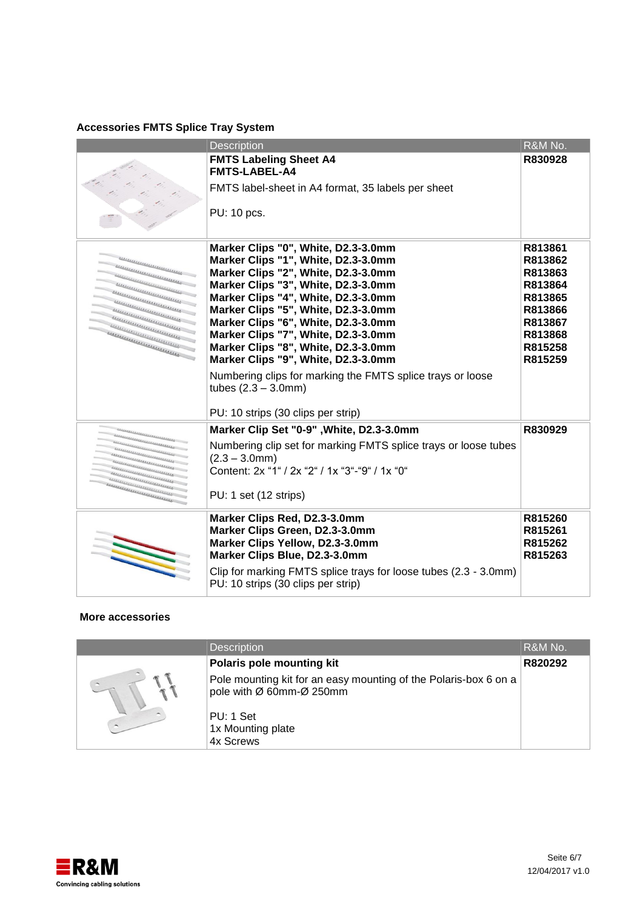### **Accessories FMTS Splice Tray System**

|                                                                                                                                                                                                                                      | <b>Description</b>                                                                                                                                                                                                                                                                                                                                                                                                                                                                                                               | R&M No.                                                                                                    |
|--------------------------------------------------------------------------------------------------------------------------------------------------------------------------------------------------------------------------------------|----------------------------------------------------------------------------------------------------------------------------------------------------------------------------------------------------------------------------------------------------------------------------------------------------------------------------------------------------------------------------------------------------------------------------------------------------------------------------------------------------------------------------------|------------------------------------------------------------------------------------------------------------|
|                                                                                                                                                                                                                                      | <b>FMTS Labeling Sheet A4</b><br><b>FMTS-LABEL-A4</b><br>FMTS label-sheet in A4 format, 35 labels per sheet<br>PU: 10 pcs.                                                                                                                                                                                                                                                                                                                                                                                                       | R830928                                                                                                    |
| <u>Delle Charles Contained and the Contained States and the Contained States and the Contained States and the Contained States and the Contained States and the Contained States and the Contained States and the Contained Stat</u> | Marker Clips "0", White, D2.3-3.0mm<br>Marker Clips "1", White, D2.3-3.0mm<br>Marker Clips "2", White, D2.3-3.0mm<br>Marker Clips "3", White, D2.3-3.0mm<br>Marker Clips "4", White, D2.3-3.0mm<br>Marker Clips "5", White, D2.3-3.0mm<br>Marker Clips "6", White, D2.3-3.0mm<br>Marker Clips "7", White, D2.3-3.0mm<br>Marker Clips "8", White, D2.3-3.0mm<br>Marker Clips "9", White, D2.3-3.0mm<br>Numbering clips for marking the FMTS splice trays or loose<br>tubes $(2.3 - 3.0$ mm)<br>PU: 10 strips (30 clips per strip) | R813861<br>R813862<br>R813863<br>R813864<br>R813865<br>R813866<br>R813867<br>R813868<br>R815258<br>R815259 |
|                                                                                                                                                                                                                                      | Marker Clip Set "0-9", White, D2.3-3.0mm                                                                                                                                                                                                                                                                                                                                                                                                                                                                                         | R830929                                                                                                    |
| ,,,,,,,,,,,,,,,,,,,,,,,,,,,,<br>,,,,,,,,,,,,,,,,,,,,,,,,,,,<br>,,,,,,,,,,,,,,,,,,,,,,,,,,,,,,,<br>,,,,,,,,,,,,,,,,,,,,,,,,,,,,,,,                                                                                                    | Numbering clip set for marking FMTS splice trays or loose tubes<br>$(2.3 - 3.0$ mm $)$<br>Content: 2x "1" / 2x "2" / 1x "3"-"9" / 1x "0"<br>PU: 1 set (12 strips)                                                                                                                                                                                                                                                                                                                                                                |                                                                                                            |
|                                                                                                                                                                                                                                      | Marker Clips Red, D2.3-3.0mm<br>Marker Clips Green, D2.3-3.0mm<br>Marker Clips Yellow, D2.3-3.0mm<br>Marker Clips Blue, D2.3-3.0mm<br>Clip for marking FMTS splice trays for loose tubes (2.3 - 3.0mm)<br>PU: 10 strips (30 clips per strip)                                                                                                                                                                                                                                                                                     | R815260<br>R815261<br>R815262<br>R815263                                                                   |

### **More accessories**

| <b>Description</b>                                                                           | R&M No. |
|----------------------------------------------------------------------------------------------|---------|
| Polaris pole mounting kit                                                                    | R820292 |
| Pole mounting kit for an easy mounting of the Polaris-box 6 on a<br>pole with Ø 60mm-Ø 250mm |         |
| PU: 1 Set                                                                                    |         |
| 1x Mounting plate<br>4x Screws                                                               |         |